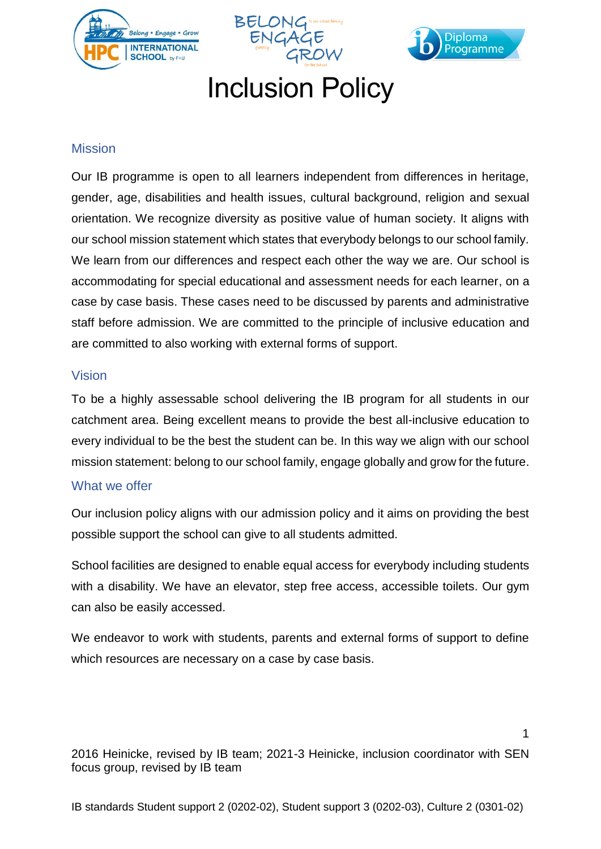





# Inclusion Policy

#### **Mission**

Our IB programme is open to all learners independent from differences in heritage, gender, age, disabilities and health issues, cultural background, religion and sexual orientation. We recognize diversity as positive value of human society. It aligns with our school mission statement which states that everybody belongs to our school family. We learn from our differences and respect each other the way we are. Our school is accommodating for special educational and assessment needs for each learner, on a case by case basis. These cases need to be discussed by parents and administrative staff before admission. We are committed to the principle of inclusive education and are committed to also working with external forms of support.

#### Vision

To be a highly assessable school delivering the IB program for all students in our catchment area. Being excellent means to provide the best all-inclusive education to every individual to be the best the student can be. In this way we align with our school mission statement: belong to our school family, engage globally and grow for the future.

#### What we offer

Our inclusion policy aligns with our admission policy and it aims on providing the best possible support the school can give to all students admitted.

School facilities are designed to enable equal access for everybody including students with a disability. We have an elevator, step free access, accessible toilets. Our gym can also be easily accessed.

We endeavor to work with students, parents and external forms of support to define which resources are necessary on a case by case basis.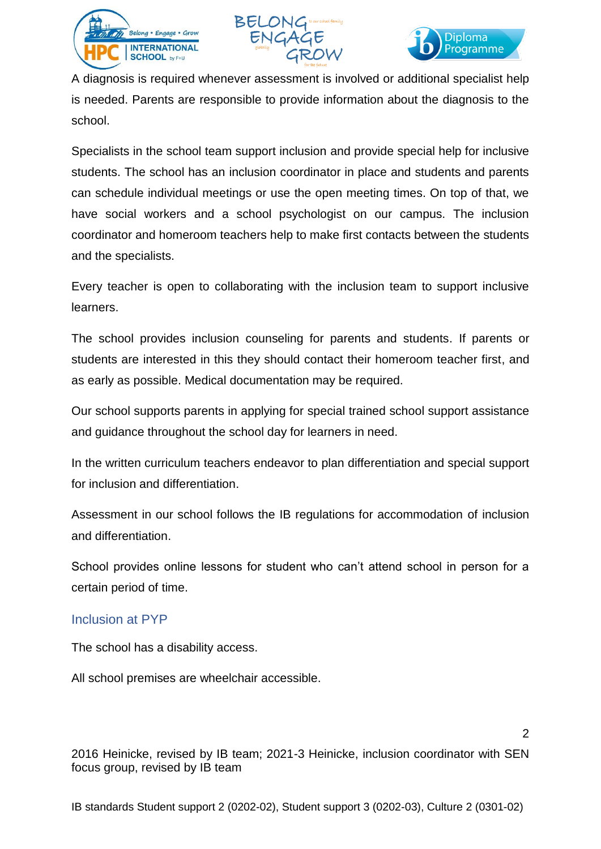





 $\mathfrak{p}$ 

A diagnosis is required whenever assessment is involved or additional specialist help is needed. Parents are responsible to provide information about the diagnosis to the school.

Specialists in the school team support inclusion and provide special help for inclusive students. The school has an inclusion coordinator in place and students and parents can schedule individual meetings or use the open meeting times. On top of that, we have social workers and a school psychologist on our campus. The inclusion coordinator and homeroom teachers help to make first contacts between the students and the specialists.

Every teacher is open to collaborating with the inclusion team to support inclusive learners.

The school provides inclusion counseling for parents and students. If parents or students are interested in this they should contact their homeroom teacher first, and as early as possible. Medical documentation may be required.

Our school supports parents in applying for special trained school support assistance and guidance throughout the school day for learners in need.

In the written curriculum teachers endeavor to plan differentiation and special support for inclusion and differentiation.

Assessment in our school follows the IB regulations for accommodation of inclusion and differentiation.

School provides online lessons for student who can't attend school in person for a certain period of time.

#### Inclusion at PYP

The school has a disability access.

All school premises are wheelchair accessible.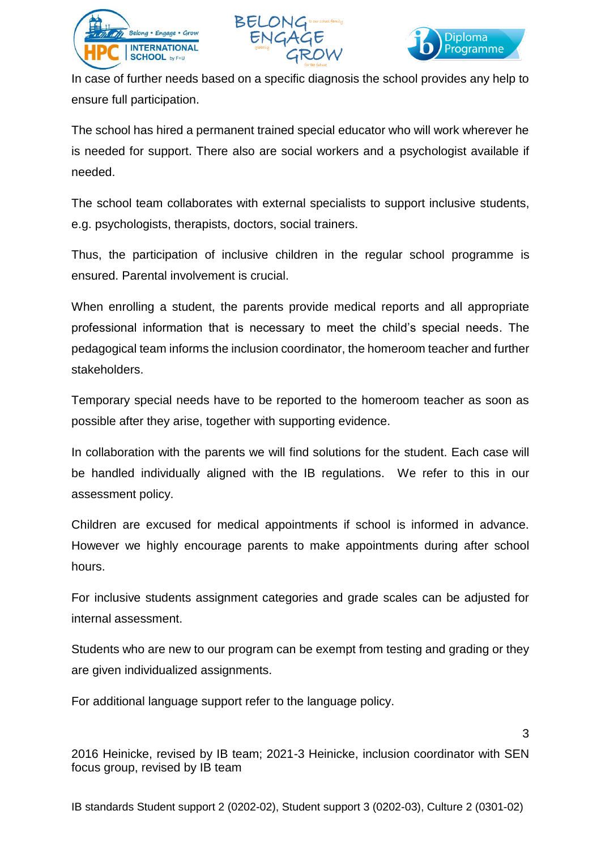





In case of further needs based on a specific diagnosis the school provides any help to ensure full participation.

The school has hired a permanent trained special educator who will work wherever he is needed for support. There also are social workers and a psychologist available if needed.

The school team collaborates with external specialists to support inclusive students, e.g. psychologists, therapists, doctors, social trainers.

Thus, the participation of inclusive children in the regular school programme is ensured. Parental involvement is crucial.

When enrolling a student, the parents provide medical reports and all appropriate professional information that is necessary to meet the child's special needs. The pedagogical team informs the inclusion coordinator, the homeroom teacher and further stakeholders.

Temporary special needs have to be reported to the homeroom teacher as soon as possible after they arise, together with supporting evidence.

In collaboration with the parents we will find solutions for the student. Each case will be handled individually aligned with the IB regulations. We refer to this in our assessment policy.

Children are excused for medical appointments if school is informed in advance. However we highly encourage parents to make appointments during after school hours.

For inclusive students assignment categories and grade scales can be adjusted for internal assessment.

Students who are new to our program can be exempt from testing and grading or they are given individualized assignments.

For additional language support refer to the language policy.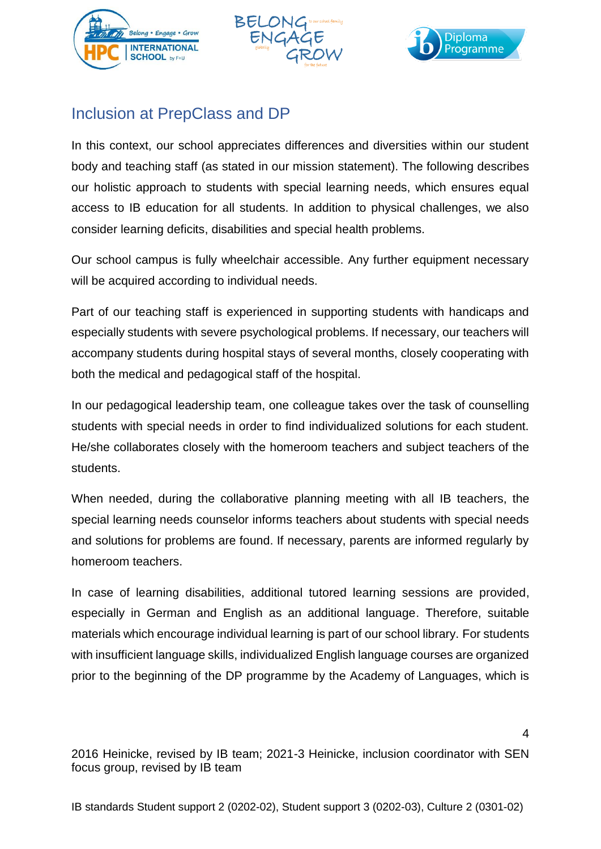





### Inclusion at PrepClass and DP

In this context, our school appreciates differences and diversities within our student body and teaching staff (as stated in our mission statement). The following describes our holistic approach to students with special learning needs, which ensures equal access to IB education for all students. In addition to physical challenges, we also consider learning deficits, disabilities and special health problems.

Our school campus is fully wheelchair accessible. Any further equipment necessary will be acquired according to individual needs.

Part of our teaching staff is experienced in supporting students with handicaps and especially students with severe psychological problems. If necessary, our teachers will accompany students during hospital stays of several months, closely cooperating with both the medical and pedagogical staff of the hospital.

In our pedagogical leadership team, one colleague takes over the task of counselling students with special needs in order to find individualized solutions for each student. He/she collaborates closely with the homeroom teachers and subject teachers of the students.

When needed, during the collaborative planning meeting with all IB teachers, the special learning needs counselor informs teachers about students with special needs and solutions for problems are found. If necessary, parents are informed regularly by homeroom teachers.

In case of learning disabilities, additional tutored learning sessions are provided, especially in German and English as an additional language. Therefore, suitable materials which encourage individual learning is part of our school library. For students with insufficient language skills, individualized English language courses are organized prior to the beginning of the DP programme by the Academy of Languages, which is